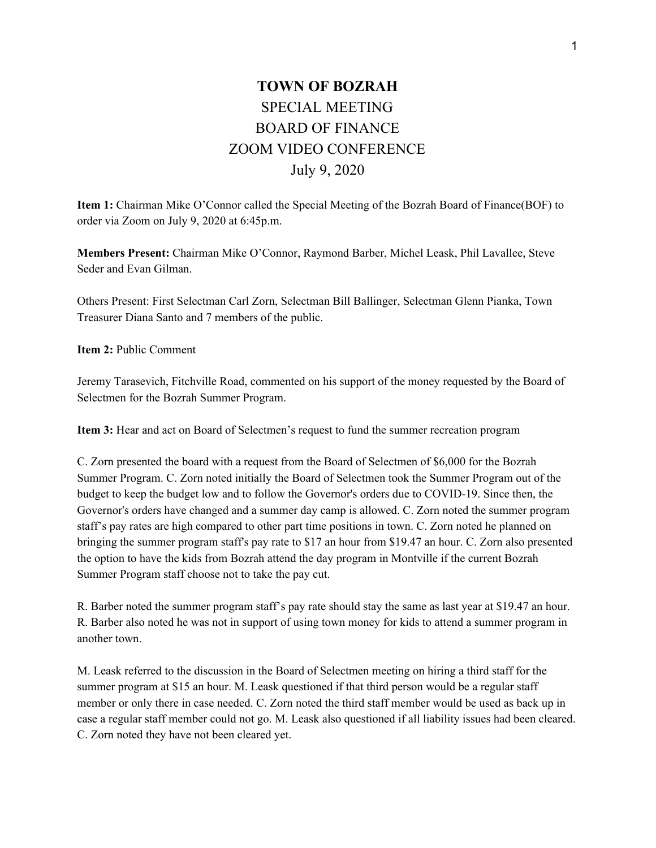## **TOWN OF BOZRAH** SPECIAL MEETING BOARD OF FINANCE ZOOM VIDEO CONFERENCE July 9, 2020

**Item 1:** Chairman Mike O'Connor called the Special Meeting of the Bozrah Board of Finance(BOF) to order via Zoom on July 9, 2020 at 6:45p.m.

**Members Present:** Chairman Mike O'Connor, Raymond Barber, Michel Leask, Phil Lavallee, Steve Seder and Evan Gilman.

Others Present: First Selectman Carl Zorn, Selectman Bill Ballinger, Selectman Glenn Pianka, Town Treasurer Diana Santo and 7 members of the public.

**Item 2:** Public Comment

Jeremy Tarasevich, Fitchville Road, commented on his support of the money requested by the Board of Selectmen for the Bozrah Summer Program.

**Item 3:** Hear and act on Board of Selectmen's request to fund the summer recreation program

C. Zorn presented the board with a request from the Board of Selectmen of \$6,000 for the Bozrah Summer Program. C. Zorn noted initially the Board of Selectmen took the Summer Program out of the budget to keep the budget low and to follow the Governor's orders due to COVID-19. Since then, the Governor's orders have changed and a summer day camp is allowed. C. Zorn noted the summer program staff's pay rates are high compared to other part time positions in town. C. Zorn noted he planned on bringing the summer program staff's pay rate to \$17 an hour from \$19.47 an hour. C. Zorn also presented the option to have the kids from Bozrah attend the day program in Montville if the current Bozrah Summer Program staff choose not to take the pay cut.

R. Barber noted the summer program staff's pay rate should stay the same as last year at \$19.47 an hour. R. Barber also noted he was not in support of using town money for kids to attend a summer program in another town.

M. Leask referred to the discussion in the Board of Selectmen meeting on hiring a third staff for the summer program at \$15 an hour. M. Leask questioned if that third person would be a regular staff member or only there in case needed. C. Zorn noted the third staff member would be used as back up in case a regular staff member could not go. M. Leask also questioned if all liability issues had been cleared. C. Zorn noted they have not been cleared yet.